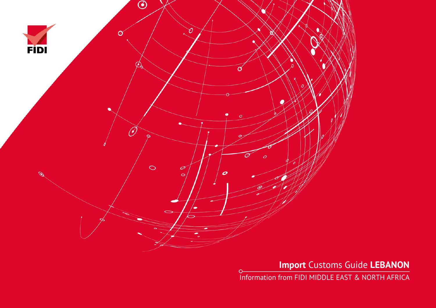

**Import** Customs Guide **LEBANON**

Information from FIDI MIDDLE EAST & NORTH AFRICA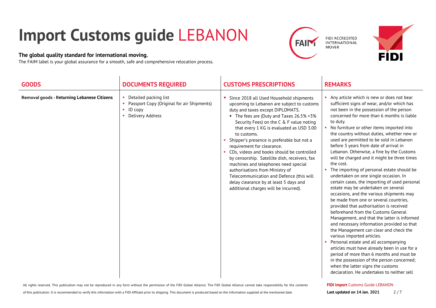## **Import Customs guide** LEBANON

## **The global quality standard for international moving.**

The FAIM label is your global assurance for a smooth, safe and comprehensive relocation process.

 $\mathbf{r}$ 





| <b>GOODS</b>                                | <b>DOCUMENTS REQUIRED</b>                                                                                  | <b>CUSTOMS PRESCRIPTIONS</b>                                                                                                                                                                                                                                                                                                                                                                                                                                                                                                                                                                                                                                      | <b>REMARKS</b>                                                                                                                                                                                                                                                                                                                                                                                                                                                                                                                                                                                                                                                                                                                                                                                                                                                                                                                                                                                                                                                                                                                                                                                                                                                                           |
|---------------------------------------------|------------------------------------------------------------------------------------------------------------|-------------------------------------------------------------------------------------------------------------------------------------------------------------------------------------------------------------------------------------------------------------------------------------------------------------------------------------------------------------------------------------------------------------------------------------------------------------------------------------------------------------------------------------------------------------------------------------------------------------------------------------------------------------------|------------------------------------------------------------------------------------------------------------------------------------------------------------------------------------------------------------------------------------------------------------------------------------------------------------------------------------------------------------------------------------------------------------------------------------------------------------------------------------------------------------------------------------------------------------------------------------------------------------------------------------------------------------------------------------------------------------------------------------------------------------------------------------------------------------------------------------------------------------------------------------------------------------------------------------------------------------------------------------------------------------------------------------------------------------------------------------------------------------------------------------------------------------------------------------------------------------------------------------------------------------------------------------------|
| Removal goods - Returning Lebanese Citizens | Detailed packing list<br>Passport Copy (Original for air Shipments)<br>ID copy<br>×.<br>• Delivery Address | Since 2018 all Used Household shipments<br>upcoming to Lebanon are subject to customs<br>duty and taxes except DIPLOMATS.<br>• The fees are (Duty and Taxes 26.5% +3%<br>Security Fees) on the C & F value noting<br>that every 1 KG is evaluated as USD 3.00<br>to customs.<br>Shipper's presence is preferable but not a<br>requirement for clearance.<br>CDs, videos and books should be controlled<br>by censorship. Satellite dish, receivers, fax<br>machines and telephones need special<br>authorisations from Ministry of<br>Telecommunication and Defence (this will<br>delay clearance by at least 5 days and<br>additional charges will be incurred). | Any article which is new or does not bear<br>sufficient signs of wear, and/or which has<br>not been in the possession of the person<br>concerned for more than 6 months is liable<br>to duty.<br>No furniture or other items imported into<br>the country without duties, whether new or<br>used are permitted to be sold in Lebanon<br>before 3 years from date of arrival in<br>Lebanon. Otherwise, a fine by the Customs<br>will be charged and it might be three times<br>the cost.<br>The importing of personal estate should be<br>undertaken on one single occasion. In<br>certain cases, the importing of used personal<br>estate may be undertaken on several<br>occasions, and the various shipments may<br>be made from one or several countries,<br>provided that authorisation is received<br>beforehand from the Customs General<br>Management, and that the latter is informed<br>and necessary information provided so that<br>the Management can clear and check the<br>various imported articles.<br>Personal estate and all accompanying<br>articles must have already been in use for a<br>period of more than 6 months and must be<br>in the possession of the person concerned;<br>when the latter signs the customs<br>declaration. He undertakes to neither sell |

All rights reserved. This publication may not be reproduced in any form without the permission of the FIDI Global Alliance. The FIDI Global Alliance cannot take responsibility for the contents

of this publication. It is recommended to verify this information with a FIDI Affiliate prior to shipping. This document is produced based on the information supplied at the mentioned date.

**FIDI Import** Customs Guide LEBANON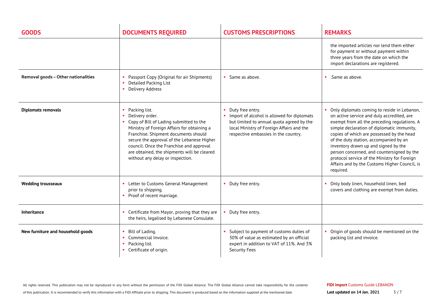| <b>GOODS</b>                        | <b>DOCUMENTS REQUIRED</b>                                                                                                                                                                                                                                                                                                                       | <b>CUSTOMS PRESCRIPTIONS</b>                                                                                                                                                                       | <b>REMARKS</b>                                                                                                                                                                                                                                                                                                                                                                                                                                                                     |
|-------------------------------------|-------------------------------------------------------------------------------------------------------------------------------------------------------------------------------------------------------------------------------------------------------------------------------------------------------------------------------------------------|----------------------------------------------------------------------------------------------------------------------------------------------------------------------------------------------------|------------------------------------------------------------------------------------------------------------------------------------------------------------------------------------------------------------------------------------------------------------------------------------------------------------------------------------------------------------------------------------------------------------------------------------------------------------------------------------|
|                                     |                                                                                                                                                                                                                                                                                                                                                 |                                                                                                                                                                                                    | the imported articles nor lend them either<br>for payment or without payment within<br>three years from the date on which the<br>import declarations are registered.                                                                                                                                                                                                                                                                                                               |
| Removal goods - Other nationalities | Passport Copy (Original for air Shipments)<br>Detailed Packing List<br><b>Delivery Address</b>                                                                                                                                                                                                                                                  | Same as above.                                                                                                                                                                                     | • Same as above.                                                                                                                                                                                                                                                                                                                                                                                                                                                                   |
| <b>Diplomats removals</b>           | Packing list.<br>Delivery order.<br>Copy of Bill of Lading submitted to the<br>Ministry of Foreign Affairs for obtaining a<br>Franchise. Shipment documents should<br>secure the approval of the Lebanese Higher<br>council. Once the Franchise and approval<br>are obtained, the shipments will be cleared<br>without any delay or inspection. | • Duty free entry.<br>Import of alcohol is allowed for diplomats<br>but limited to annual quota agreed by the<br>local Ministry of Foreign Affairs and the<br>respective embassies in the country. | Only diplomats coming to reside in Lebanon,<br>on active service and duly accredited, are<br>exempt from all the preceding regulations. A<br>simple declaration of diplomatic immunity,<br>copies of which are possessed by the head<br>of the duty station, accompanied by an<br>inventory drawn up and signed by the<br>person concerned, and countersigned by the<br>protocol service of the Ministry for Foreign<br>Affairs and by the Customs Higher Council, is<br>required. |
| <b>Wedding trousseaux</b>           | Letter to Customs General Management<br>prior to shipping.<br>Proof of recent marriage.                                                                                                                                                                                                                                                         | • Duty free entry.                                                                                                                                                                                 | Only body linen, household linen, bed<br>covers and clothing are exempt from duties.                                                                                                                                                                                                                                                                                                                                                                                               |
| Inheritance                         | Certificate from Mayor, proving that they are<br>the heirs, legalised by Lebanese Consulate.                                                                                                                                                                                                                                                    | Duty free entry.                                                                                                                                                                                   |                                                                                                                                                                                                                                                                                                                                                                                                                                                                                    |
| New furniture and household goods   | Bill of Lading.<br>Commercial Invoice.<br>Packing list.<br>Certificate of origin.                                                                                                                                                                                                                                                               | Subject to payment of customs duties of<br>30% of value as estimated by an official<br>expert in addition to VAT of 11%. And 3%<br><b>Security Fees</b>                                            | Origin of goods should be mentioned on the<br>packing list and invoice.                                                                                                                                                                                                                                                                                                                                                                                                            |

of this publication. It is recommended to verify this information with a FIDI Affiliate prior to shipping. This document is produced based on the information supplied at the mentioned date.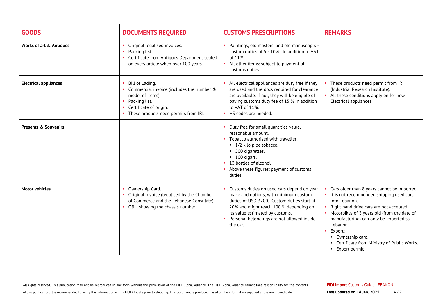| <b>GOODS</b>                       | <b>DOCUMENTS REQUIRED</b>                                                                                                                                            | <b>CUSTOMS PRESCRIPTIONS</b>                                                                                                                                                                                                                                               | <b>REMARKS</b>                                                                                                                                                                                                                                                                                                                                                        |
|------------------------------------|----------------------------------------------------------------------------------------------------------------------------------------------------------------------|----------------------------------------------------------------------------------------------------------------------------------------------------------------------------------------------------------------------------------------------------------------------------|-----------------------------------------------------------------------------------------------------------------------------------------------------------------------------------------------------------------------------------------------------------------------------------------------------------------------------------------------------------------------|
| <b>Works of art &amp; Antiques</b> | Original legalised invoices.<br>Packing list.<br>Certificate from Antiques Department sealed<br>on every article when over 100 years.                                | - Paintings, old masters, and old manuscripts -<br>custom duties of 5 - 10%. In addition to VAT<br>of 11%.<br>All other items: subject to payment of<br>customs duties.                                                                                                    |                                                                                                                                                                                                                                                                                                                                                                       |
| <b>Electrical appliances</b>       | Bill of Lading.<br>Commercial invoice (includes the number &<br>model of items).<br>Packing list.<br>Certificate of origin.<br>These products need permits from IRI. | • All electrical appliances are duty free if they<br>are used and the docs required for clearance<br>are available. If not, they will be eligible of<br>paying customs duty fee of 15 % in addition<br>to VAT of 11%.<br>HS codes are needed.                              | These products need permit from IRI<br>(Industrial Research Institute).<br>• All these conditions apply on for new<br>Electrical appliances.                                                                                                                                                                                                                          |
| <b>Presents &amp; Souvenirs</b>    |                                                                                                                                                                      | • Duty free for small quantities value,<br>reasonable amount.<br>• Tobacco authorised with traveller:<br>• 1/2 kilo pipe tobacco.<br>• 500 cigarettes.<br>$-100$ cigars.<br>13 bottles of alcohol.<br>• Above these figures: payment of customs<br>duties.                 |                                                                                                                                                                                                                                                                                                                                                                       |
| <b>Motor vehicles</b>              | Ownership Card.<br>Original invoice (legalised by the Chamber<br>of Commerce and the Lebanese Consulate).<br>OBL, showing the chassis number.                        | • Customs duties on used cars depend on year<br>make and options, with minimum custom<br>duties of USD 3700. Custom duties start at<br>20% and might reach 100 % depending on<br>its value estimated by customs.<br>Personal belongings are not allowed inside<br>the car. | Cars older than 8 years cannot be imported.<br>• It is not recommended shipping used cars<br>into Lebanon.<br>Right hand drive cars are not accepted.<br>• Motorbikes of 3 years old (from the date of<br>manufacturing) can only be imported to<br>Lebanon.<br>Export:<br>٠<br>• Ownership card.<br>• Certificate from Ministry of Public Works.<br>• Export permit. |

All rights reserved. This publication may not be reproduced in any form without the permission of the FIDI Global Alliance. The FIDI Global Alliance cannot take responsibility for the contents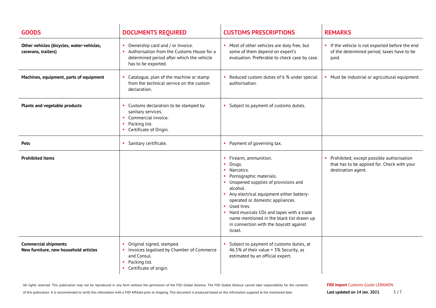| <b>GOODS</b>                                                         | <b>DOCUMENTS REQUIRED</b>                                                                                                                          | <b>CUSTOMS PRESCRIPTIONS</b>                                                                                                                                                                                                                                                                                                                                                    | <b>REMARKS</b>                                                                                                 |
|----------------------------------------------------------------------|----------------------------------------------------------------------------------------------------------------------------------------------------|---------------------------------------------------------------------------------------------------------------------------------------------------------------------------------------------------------------------------------------------------------------------------------------------------------------------------------------------------------------------------------|----------------------------------------------------------------------------------------------------------------|
| Other vehicles (bicycles, water-vehicles,<br>caravans, trailers)     | Ownership card and / or Invoice.<br>Authorisation from the Customs House for a<br>determined period after which the vehicle<br>has to be exported. | • Most of other vehicles are duty free, but<br>some of them depend on expert's<br>evaluation. Preferable to check case by case.                                                                                                                                                                                                                                                 | • If the vehicle is not exported before the end<br>of the determined period, taxes have to be<br>paid.         |
| Machines, equipment, parts of equipment                              | • Catalogue, plan of the machine or stamp<br>from the technical service on the custom<br>declaration.                                              | Reduced custom duties of 6 % under special<br>authorisation.                                                                                                                                                                                                                                                                                                                    | • Must be industrial or agricultural equipment.                                                                |
| Plants and vegetable products                                        | Customs declaration to be stamped by<br>sanitary services.<br>• Commercial invoice.<br>Packing list.<br>• Certificate of Origin.                   | Subject to payment of customs duties.                                                                                                                                                                                                                                                                                                                                           |                                                                                                                |
| Pets                                                                 | Sanitary certificate.                                                                                                                              | • Payment of governing tax.                                                                                                                                                                                                                                                                                                                                                     |                                                                                                                |
| <b>Prohibited items</b>                                              |                                                                                                                                                    | Firearm, ammunition.<br>Drugs.<br>• Narcotics.<br>Pornographic materials.<br>• Unopened supplies of provisions and<br>alcohol.<br>Any electrical equipment either battery-<br>operated or domestic appliances.<br>• Used tires.<br>• Hard musicals CDs and tapes with a trade<br>name mentioned in the black list drawn up<br>in connection with the boycott against<br>Israel. | Prohibited; except possible authorisation<br>that has to be applied for. Check with your<br>destination agent. |
| <b>Commercial shipments</b><br>New furniture, new household articles | Original signed, stamped.<br>Invoices legalised by Chamber of Commerce<br>and Consul.<br>Packing list.<br>Certificate of origin.                   | Subject to payment of customs duties, at<br>46.5% of their value + 3% Security, as<br>estimated by an official expert.                                                                                                                                                                                                                                                          |                                                                                                                |

All rights reserved. This publication may not be reproduced in any form without the permission of the FIDI Global Alliance. The FIDI Global Alliance cannot take responsibility for the contents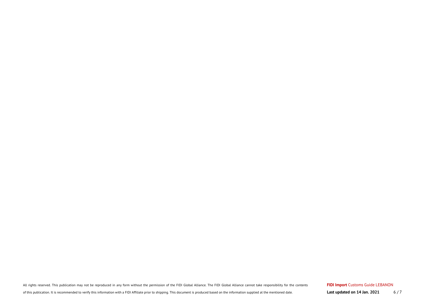All rights reserved. This publication may not be reproduced in any form without the permission of the FIDI Global Alliance. The FIDI Global Alliance cannot take responsibility for the contents

of this publication. It is recommended to verify this information with a FIDI Affiliate prior to shipping. This document is produced based on the information supplied at the mentioned date.